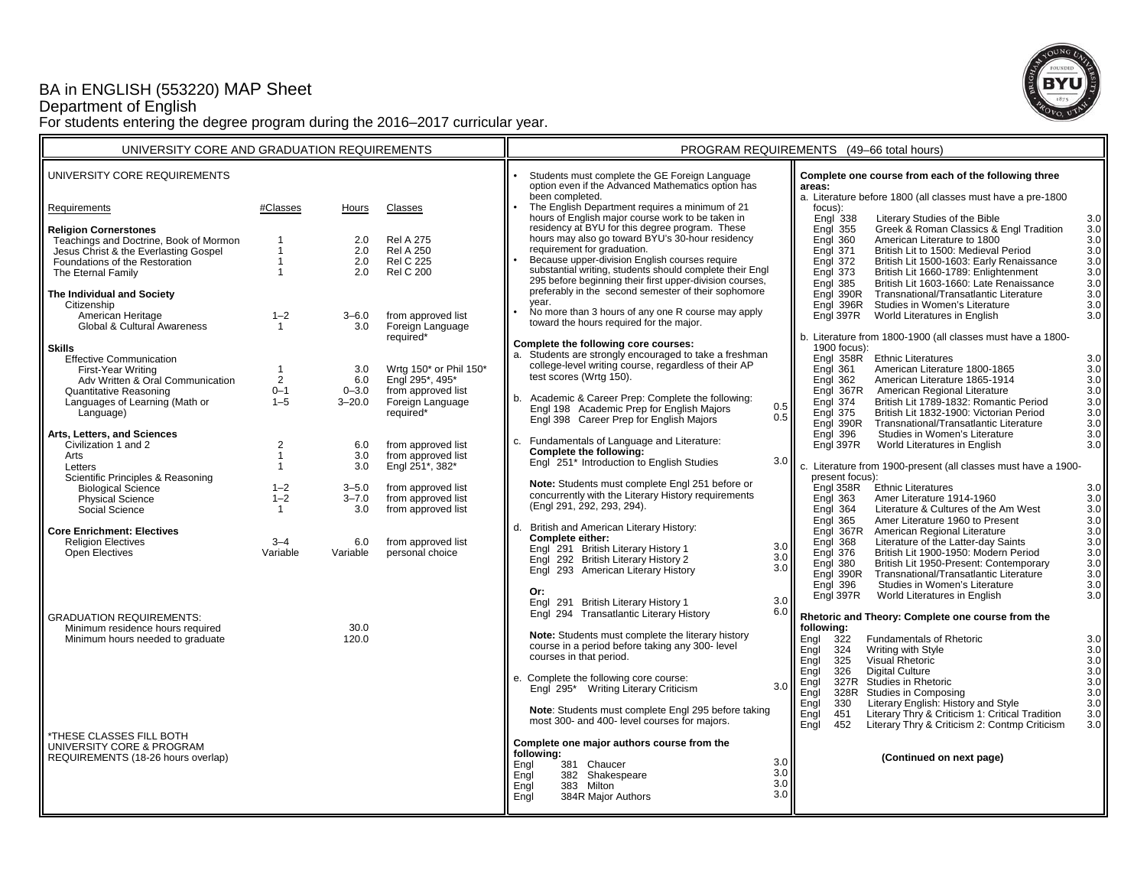# BA in ENGLISH (553220) MAP Sheet Department of English

For students entering the degree program during the 2016–2017 curricular year.

| UNIVERSITY CORE AND GRADUATION REQUIREMENTS                                                                                                                                        |                                                    |                                       |                                                                                                               | PROGRAM REQUIREMENTS (49-66 total hours)                                                                                                                                                                                                                                                                                                                                                                                                                                                                                                                                                                                                                                                                                                                                        |  |  |
|------------------------------------------------------------------------------------------------------------------------------------------------------------------------------------|----------------------------------------------------|---------------------------------------|---------------------------------------------------------------------------------------------------------------|---------------------------------------------------------------------------------------------------------------------------------------------------------------------------------------------------------------------------------------------------------------------------------------------------------------------------------------------------------------------------------------------------------------------------------------------------------------------------------------------------------------------------------------------------------------------------------------------------------------------------------------------------------------------------------------------------------------------------------------------------------------------------------|--|--|
| UNIVERSITY CORE REQUIREMENTS                                                                                                                                                       |                                                    |                                       |                                                                                                               | Students must complete the GE Foreign Language<br>Complete one course from each of the following three<br>option even if the Advanced Mathematics option has<br>areas:<br>been completed.<br>a. Literature before 1800 (all classes must have a pre-1800                                                                                                                                                                                                                                                                                                                                                                                                                                                                                                                        |  |  |
| Requirements                                                                                                                                                                       | #Classes                                           | Hours                                 | Classes                                                                                                       | The English Department requires a minimum of 21<br>focus):<br>hours of English major course work to be taken in<br><b>Engl 338</b><br>$3.0\,$<br>Literary Studies of the Bible                                                                                                                                                                                                                                                                                                                                                                                                                                                                                                                                                                                                  |  |  |
| <b>Religion Cornerstones</b><br>Teachings and Doctrine, Book of Mormon<br>Jesus Christ & the Everlasting Gospel<br>Foundations of the Restoration<br>The Eternal Family            | $\overline{1}$<br>$\overline{1}$<br>$\overline{1}$ | 2.0<br>2.0<br>2.0<br>2.0              | <b>Rel A 275</b><br><b>Rel A 250</b><br><b>Rel C 225</b><br><b>Rel C 200</b>                                  | residency at BYU for this degree program. These<br>Greek & Roman Classics & Engl Tradition<br>3.0<br>Enal 355<br>hours may also go toward BYU's 30-hour residency<br>American Literature to 1800<br>3.0<br>Engl 360<br>requirement for graduation.<br>British Lit to 1500: Medieval Period<br>3.0<br><b>Engl 371</b><br>Because upper-division English courses require<br>$\overline{3.0}$<br>Engl 372<br>British Lit 1500-1603: Early Renaissance<br>substantial writing, students should complete their Engl<br>British Lit 1660-1789: Enlightenment<br>3.0<br><b>Engl 373</b><br>295 before beginning their first upper-division courses,<br><b>Engl 385</b><br>British Lit 1603-1660: Late Renaissance<br>3.0                                                               |  |  |
| The Individual and Society<br>Citizenship<br>American Heritage<br>Global & Cultural Awareness                                                                                      | $1 - 2$<br>$\mathbf{1}$                            | $3 - 6.0$<br>3.0                      | from approved list<br>Foreign Language                                                                        | preferably in the second semester of their sophomore<br>Transnational/Transatlantic Literature<br>3.0<br>Engl 390R<br>vear.<br>Studies in Women's Literature<br>3.0<br>Engl 396R<br>No more than 3 hours of any one R course may apply<br>World Literatures in English<br>3.0<br>Engl 397R<br>toward the hours required for the major.                                                                                                                                                                                                                                                                                                                                                                                                                                          |  |  |
| <b>Skills</b><br><b>Effective Communication</b><br>First-Year Writing<br>Adv Written & Oral Communication<br>Quantitative Reasoning<br>Languages of Learning (Math or<br>Language) | -1<br>$\overline{2}$<br>$0 - 1$<br>$1 - 5$         | 3.0<br>6.0<br>$0 - 3.0$<br>$3 - 20.0$ | required*<br>Wrtg 150* or Phil 150*<br>Engl 295*, 495*<br>from approved list<br>Foreign Language<br>required* | b. Literature from 1800-1900 (all classes must have a 1800-<br>Complete the following core courses:<br>1900 focus):<br>a. Students are strongly encouraged to take a freshman<br>Engl 358R Ethnic Literatures<br>3.0<br>college-level writing course, regardless of their AP<br>American Literature 1800-1865<br>3.0<br>Engl 361<br>test scores (Wrtg 150).<br>$3.0\,$<br><b>Engl 362</b><br>American Literature 1865-1914<br>3.0<br>Engl 367R<br>American Regional Literature<br>Academic & Career Prep: Complete the following:<br>b.<br>British Lit 1789-1832: Romantic Period<br>3.0<br>Engl 374<br>0.5<br>Engl 198 Academic Prep for English Majors<br>British Lit 1832-1900: Victorian Period<br><b>Engl 375</b><br>3.0<br>0.5<br>Engl 398 Career Prep for English Majors |  |  |
| Arts, Letters, and Sciences<br>Civilization 1 and 2<br>Arts<br>Letters<br>Scientific Principles & Reasoning<br><b>Biological Science</b>                                           | 2<br>$\overline{1}$<br>$\overline{1}$<br>$1 - 2$   | 6.0<br>3.0<br>3.0<br>$3 - 5.0$        | from approved list<br>from approved list<br>Engl 251*, 382*<br>from approved list                             | Transnational/Transatlantic Literature<br>3.0<br>Engl 390R<br>Studies in Women's Literature<br><b>Engl 396</b><br>3.0<br>c. Fundamentals of Language and Literature:<br>Engl 397R<br>World Literatures in English<br>3.0<br>Complete the following:<br>3.0<br>Engl 251* Introduction to English Studies<br>c. Literature from 1900-present (all classes must have a 1900-<br>present focus):<br>Note: Students must complete Engl 251 before or<br>Engl 358R<br><b>Ethnic Literatures</b><br>3.0                                                                                                                                                                                                                                                                                |  |  |
| Physical Science<br>Social Science                                                                                                                                                 | $1 - 2$<br>-1                                      | $3 - 7.0$<br>3.0                      | from approved list<br>from approved list                                                                      | concurrently with the Literary History requirements<br><b>Engl 363</b><br>Amer Literature 1914-1960<br>3.0<br>(Engl 291, 292, 293, 294).<br>3.0<br><b>Engl 364</b><br>Literature & Cultures of the Am West<br>3.0<br><b>Engl 365</b><br>Amer Literature 1960 to Present                                                                                                                                                                                                                                                                                                                                                                                                                                                                                                         |  |  |
| <b>Core Enrichment: Electives</b><br><b>Religion Electives</b><br>Open Electives                                                                                                   | $3 - 4$<br>Variable                                | 6.0<br>Variable                       | from approved list<br>personal choice                                                                         | British and American Literary History:<br>d.<br>American Regional Literature<br>3.0<br>Engl 367R<br>Complete either:<br>Literature of the Latter-day Saints<br>3.0<br><b>Engl 368</b><br>3.0<br>Engl 291 British Literary History 1<br>3.0<br>British Lit 1900-1950: Modern Period<br>Engl 376<br>3.0<br>Engl 292 British Literary History 2<br><b>Engl 380</b><br>British Lit 1950-Present: Contemporary<br>3.0<br>3.0<br>Engl 293 American Literary History<br>Transnational/Transatlantic Literature<br>Engl 390R<br>3.0<br><b>Engl 396</b><br>Studies in Women's Literature<br>3.0<br>Or:<br>3.0<br>Engl 397R<br>World Literatures in English                                                                                                                               |  |  |
| <b>GRADUATION REQUIREMENTS:</b><br>Minimum residence hours required                                                                                                                |                                                    | 30.0                                  |                                                                                                               | 3.0<br>Engl 291 British Literary History 1<br>6.0<br>Engl 294 Transatlantic Literary History<br>Rhetoric and Theory: Complete one course from the<br>following:                                                                                                                                                                                                                                                                                                                                                                                                                                                                                                                                                                                                                 |  |  |
| Minimum hours needed to graduate                                                                                                                                                   |                                                    | 120.0                                 |                                                                                                               | Note: Students must complete the literary history<br>Engl<br>322<br>Fundamentals of Rhetoric<br>3.0<br>course in a period before taking any 300- level<br>3.0<br>Writing with Style<br>Enal<br>324<br>courses in that period.<br>3.0<br>325<br>Visual Rhetoric<br>Engl<br><b>Digital Culture</b><br>3.0<br>Engl<br>326                                                                                                                                                                                                                                                                                                                                                                                                                                                          |  |  |
| *THESE CLASSES FILL BOTH                                                                                                                                                           |                                                    |                                       |                                                                                                               | e. Complete the following core course:<br>Studies in Rhetoric<br>3.0<br>327R<br>Engl<br>3.0<br>Engl 295* Writing Literary Criticism<br>328R<br>Studies in Composing<br>3.0<br>Engl<br>Literary English: History and Style<br>3.0<br>Engl<br>330<br>Note: Students must complete Engl 295 before taking<br>Literary Thry & Criticism 1: Critical Tradition<br>451<br>3.0<br>Engl<br>most 300- and 400- level courses for majors.<br>452<br>Literary Thry & Criticism 2: Contmp Criticism<br>Enal<br>3.0                                                                                                                                                                                                                                                                          |  |  |
| UNIVERSITY CORE & PROGRAM<br>REQUIREMENTS (18-26 hours overlap)                                                                                                                    |                                                    |                                       |                                                                                                               | Complete one major authors course from the<br>following:<br>(Continued on next page)<br>3.0<br>381 Chaucer<br>Engl<br>3.0<br>382 Shakespeare<br>Engl<br>3.0<br>383 Milton<br>Engl<br>3.0<br>Engl<br>384R Major Authors                                                                                                                                                                                                                                                                                                                                                                                                                                                                                                                                                          |  |  |